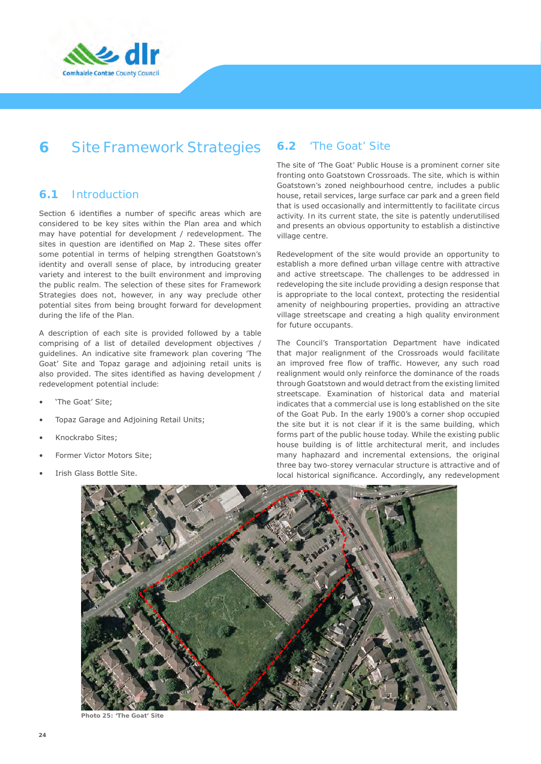

# **6** Site Framework Strategies

### **6.1** Introduction

Section 6 identifies a number of specific areas which are considered to be key sites within the Plan area and which may have potential for development / redevelopment. The sites in question are identified on Map 2. These sites offer some potential in terms of helping strengthen Goatstown's identity and overall sense of place, by introducing greater variety and interest to the built environment and improving the public realm. The selection of these sites for Framework Strategies does not, however, in any way preclude other potential sites from being brought forward for development during the life of the Plan.

A description of each site is provided followed by a table comprising of a list of detailed development objectives / guidelines. An indicative site framework plan covering 'The Goat' Site and Topaz garage and adjoining retail units is also provided. The sites identified as having development / redevelopment potential include:

- 'The Goat' Site;
- Topaz Garage and Adjoining Retail Units;
- Knockrabo Sites;
- Former Victor Motors Site;
- Irish Glass Bottle Site.

### **6.2** 'The Goat' Site

The site of 'The Goat' Public House is a prominent corner site fronting onto Goatstown Crossroads. The site, which is within Goatstown's zoned neighbourhood centre, includes a public house, retail services, large surface car park and a green field that is used occasionally and intermittently to facilitate circus activity. In its current state, the site is patently underutilised and presents an obvious opportunity to establish a distinctive village centre.

Redevelopment of the site would provide an opportunity to establish a more defined urban village centre with attractive and active streetscape. The challenges to be addressed in redeveloping the site include providing a design response that is appropriate to the local context, protecting the residential amenity of neighbouring properties, providing an attractive village streetscape and creating a high quality environment for future occupants.

The Council's Transportation Department have indicated that major realignment of the Crossroads would facilitate an improved free flow of traffic. However, any such road realignment would only reinforce the dominance of the roads through Goatstown and would detract from the existing limited streetscape. Examination of historical data and material indicates that a commercial use is long established on the site of the Goat Pub. In the early 1900's a corner shop occupied the site but it is not clear if it is the same building, which forms part of the public house today. While the existing public house building is of little architectural merit, and includes many haphazard and incremental extensions, the original three bay two-storey vernacular structure is attractive and of local historical significance. Accordingly, any redevelopment



**Photo 25: 'The Goat' Site**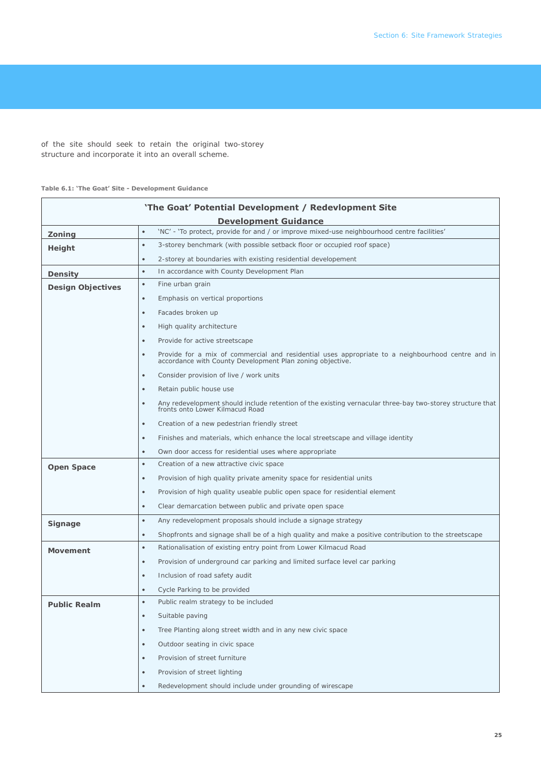of the site should seek to retain the original two-storey structure and incorporate it into an overall scheme.

#### **Table 6.1: 'The Goat' Site - Development Guidance**

| 'The Goat' Potential Development / Redevlopment Site |                                                                                                                                                                          |  |  |
|------------------------------------------------------|--------------------------------------------------------------------------------------------------------------------------------------------------------------------------|--|--|
| <b>Development Guidance</b>                          |                                                                                                                                                                          |  |  |
| Zoning                                               | 'NC' - 'To protect, provide for and / or improve mixed-use neighbourhood centre facilities'<br>$\bullet$                                                                 |  |  |
| Height                                               | 3-storey benchmark (with possible setback floor or occupied roof space)<br>$\bullet$                                                                                     |  |  |
|                                                      | 2-storey at boundaries with existing residential developement<br>$\bullet$                                                                                               |  |  |
| Density                                              | In accordance with County Development Plan<br>$\bullet$                                                                                                                  |  |  |
| <b>Design Objectives</b>                             | Fine urban grain<br>$\bullet$                                                                                                                                            |  |  |
|                                                      | Emphasis on vertical proportions<br>$\bullet$                                                                                                                            |  |  |
|                                                      | Facades broken up<br>$\bullet$                                                                                                                                           |  |  |
|                                                      | High quality architecture<br>$\bullet$                                                                                                                                   |  |  |
|                                                      | Provide for active streetscape<br>$\bullet$                                                                                                                              |  |  |
|                                                      | Provide for a mix of commercial and residential uses appropriate to a neighbourhood centre and in accordance with County Development Plan zoning objective.<br>$\bullet$ |  |  |
|                                                      | Consider provision of live / work units<br>$\bullet$                                                                                                                     |  |  |
|                                                      | Retain public house use<br>$\bullet$                                                                                                                                     |  |  |
|                                                      | Any redevelopment should include retention of the existing vernacular three-bay two-storey structure that<br>$\bullet$<br>fronts onto Lower Kilmacud Road                |  |  |
|                                                      | Creation of a new pedestrian friendly street<br>$\bullet$                                                                                                                |  |  |
|                                                      | Finishes and materials, which enhance the local streetscape and village identity<br>$\bullet$                                                                            |  |  |
|                                                      | Own door access for residential uses where appropriate<br>$\bullet$                                                                                                      |  |  |
| <b>Open Space</b>                                    | Creation of a new attractive civic space<br>$\bullet$                                                                                                                    |  |  |
|                                                      | Provision of high quality private amenity space for residential units<br>$\bullet$                                                                                       |  |  |
|                                                      | Provision of high quality useable public open space for residential element<br>$\bullet$                                                                                 |  |  |
|                                                      | Clear demarcation between public and private open space<br>$\bullet$                                                                                                     |  |  |
| Signage                                              | Any redevelopment proposals should include a signage strategy<br>$\bullet$                                                                                               |  |  |
|                                                      | Shopfronts and signage shall be of a high quality and make a positive contribution to the streetscape<br>$\bullet$                                                       |  |  |
| <b>Movement</b>                                      | Rationalisation of existing entry point from Lower Kilmacud Road<br>$\bullet$                                                                                            |  |  |
|                                                      | Provision of underground car parking and limited surface level car parking<br>$\bullet$                                                                                  |  |  |
|                                                      | Inclusion of road safety audit<br>$\bullet$                                                                                                                              |  |  |
|                                                      | Cycle Parking to be provided<br>$\bullet$                                                                                                                                |  |  |
| <b>Public Realm</b>                                  | Public realm strategy to be included<br>$\bullet$                                                                                                                        |  |  |
|                                                      | Suitable paving<br>$\bullet$                                                                                                                                             |  |  |
|                                                      | Tree Planting along street width and in any new civic space<br>$\bullet$                                                                                                 |  |  |
|                                                      | Outdoor seating in civic space<br>$\bullet$                                                                                                                              |  |  |
|                                                      | Provision of street furniture<br>$\bullet$                                                                                                                               |  |  |
|                                                      | Provision of street lighting<br>$\bullet$                                                                                                                                |  |  |
|                                                      | Redevelopment should include under grounding of wirescape                                                                                                                |  |  |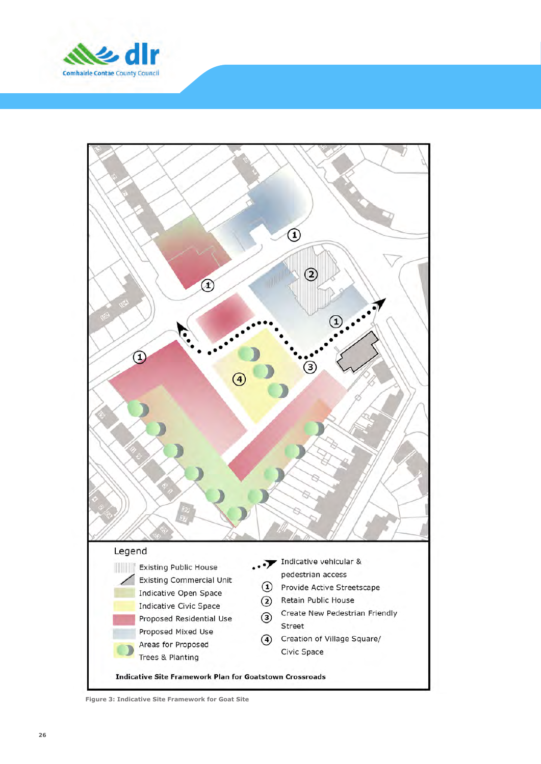



**Figure 3: Indicative Site Framework for Goat Site**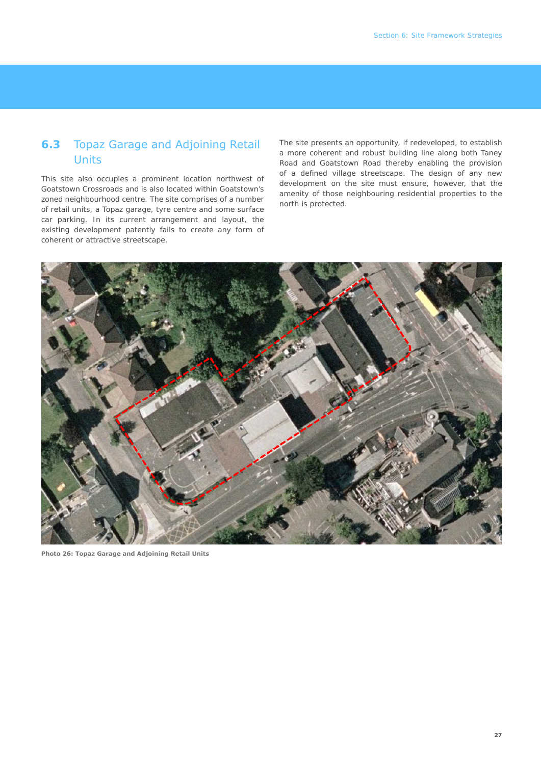## **6.3** Topaz Garage and Adjoining Retail **Units**

This site also occupies a prominent location northwest of Goatstown Crossroads and is also located within Goatstown's zoned neighbourhood centre. The site comprises of a number of retail units, a Topaz garage, tyre centre and some surface car parking. In its current arrangement and layout, the existing development patently fails to create any form of coherent or attractive streetscape.

The site presents an opportunity, if redeveloped, to establish a more coherent and robust building line along both Taney Road and Goatstown Road thereby enabling the provision of a defined village streetscape. The design of any new development on the site must ensure, however, that the amenity of those neighbouring residential properties to the north is protected.



**Photo 26: Topaz Garage and Adjoining Retail Units**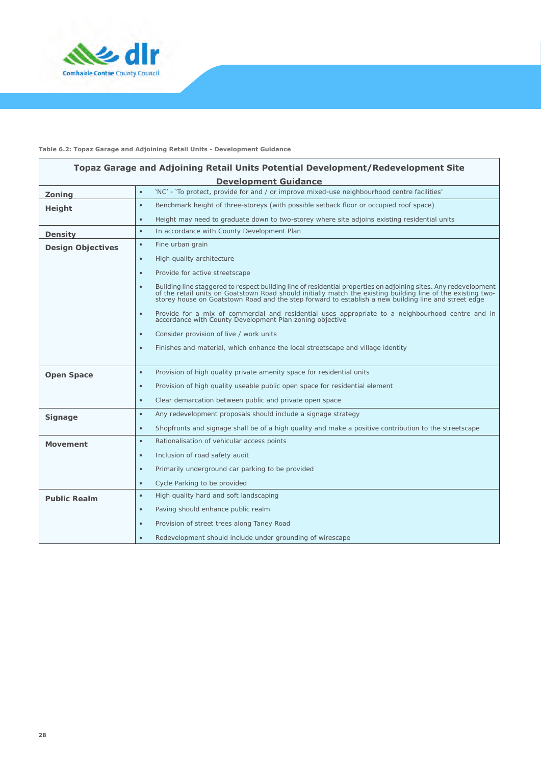

#### **Table 6.2: Topaz Garage and Adjoining Retail Units - Development Guidance**

| Topaz Garage and Adjoining Retail Units Potential Development/Redevelopment Site |                                                                                                                                                                                                                                                                                                                                                       |  |
|----------------------------------------------------------------------------------|-------------------------------------------------------------------------------------------------------------------------------------------------------------------------------------------------------------------------------------------------------------------------------------------------------------------------------------------------------|--|
|                                                                                  | <b>Development Guidance</b>                                                                                                                                                                                                                                                                                                                           |  |
| Zoning                                                                           | 'NC' - 'To protect, provide for and / or improve mixed-use neighbourhood centre facilities'<br>$\bullet$                                                                                                                                                                                                                                              |  |
| Height                                                                           | Benchmark height of three-storeys (with possible setback floor or occupied roof space)<br>$\bullet$                                                                                                                                                                                                                                                   |  |
|                                                                                  | Height may need to graduate down to two-storey where site adjoins existing residential units<br>$\bullet$                                                                                                                                                                                                                                             |  |
| <b>Density</b>                                                                   | In accordance with County Development Plan<br>$\bullet$                                                                                                                                                                                                                                                                                               |  |
| <b>Design Objectives</b>                                                         | Fine urban grain<br>$\bullet$                                                                                                                                                                                                                                                                                                                         |  |
|                                                                                  | High quality architecture<br>$\bullet$                                                                                                                                                                                                                                                                                                                |  |
|                                                                                  | Provide for active streetscape<br>$\bullet$                                                                                                                                                                                                                                                                                                           |  |
|                                                                                  | Building line staggered to respect building line of residential properties on adjoining sites. Any redevelopment<br>$\bullet$<br>of the retail units on Goatstown Road should initially match the existing building line of the existing two-<br>storey house on Goatstown Road and the step forward to establish a new building line and street edge |  |
|                                                                                  | Provide for a mix of commercial and residential uses appropriate to a neighbourhood centre and in<br>$\bullet$<br>accordance with County Development Plan zoning objective                                                                                                                                                                            |  |
|                                                                                  | Consider provision of live / work units<br>$\bullet$                                                                                                                                                                                                                                                                                                  |  |
|                                                                                  | Finishes and material, which enhance the local streetscape and village identity<br>$\bullet$                                                                                                                                                                                                                                                          |  |
| <b>Open Space</b>                                                                | Provision of high quality private amenity space for residential units<br>$\bullet$                                                                                                                                                                                                                                                                    |  |
|                                                                                  | Provision of high quality useable public open space for residential element<br>$\bullet$                                                                                                                                                                                                                                                              |  |
|                                                                                  | Clear demarcation between public and private open space<br>$\bullet$                                                                                                                                                                                                                                                                                  |  |
| <b>Signage</b>                                                                   | Any redevelopment proposals should include a signage strategy<br>$\bullet$                                                                                                                                                                                                                                                                            |  |
|                                                                                  | Shopfronts and signage shall be of a high quality and make a positive contribution to the streetscape<br>$\bullet$                                                                                                                                                                                                                                    |  |
| <b>Movement</b>                                                                  | Rationalisation of vehicular access points<br>$\bullet$                                                                                                                                                                                                                                                                                               |  |
|                                                                                  | Inclusion of road safety audit<br>$\bullet$                                                                                                                                                                                                                                                                                                           |  |
|                                                                                  | Primarily underground car parking to be provided<br>$\bullet$                                                                                                                                                                                                                                                                                         |  |
|                                                                                  | Cycle Parking to be provided<br>$\bullet$                                                                                                                                                                                                                                                                                                             |  |
| <b>Public Realm</b>                                                              | High quality hard and soft landscaping<br>$\bullet$                                                                                                                                                                                                                                                                                                   |  |
|                                                                                  | Paving should enhance public realm<br>$\bullet$                                                                                                                                                                                                                                                                                                       |  |
|                                                                                  | Provision of street trees along Taney Road<br>$\bullet$                                                                                                                                                                                                                                                                                               |  |
|                                                                                  | Redevelopment should include under grounding of wirescape<br>$\bullet$                                                                                                                                                                                                                                                                                |  |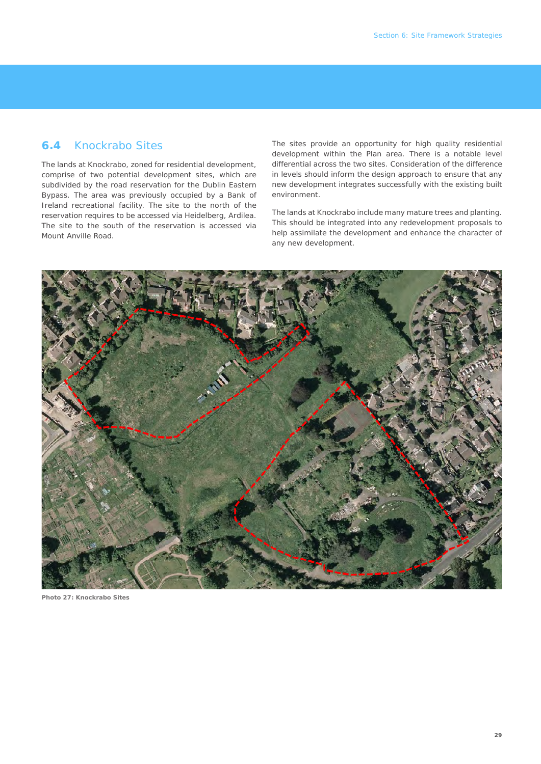### **6.4** Knockrabo Sites

The lands at Knockrabo, zoned for residential development, comprise of two potential development sites, which are subdivided by the road reservation for the Dublin Eastern Bypass. The area was previously occupied by a Bank of Ireland recreational facility. The site to the north of the reservation requires to be accessed via Heidelberg, Ardilea. The site to the south of the reservation is accessed via Mount Anville Road.

The sites provide an opportunity for high quality residential development within the Plan area. There is a notable level differential across the two sites. Consideration of the difference in levels should inform the design approach to ensure that any new development integrates successfully with the existing built environment.

The lands at Knockrabo include many mature trees and planting. This should be integrated into any redevelopment proposals to help assimilate the development and enhance the character of any new development.



**Photo 27: Knockrabo Sites**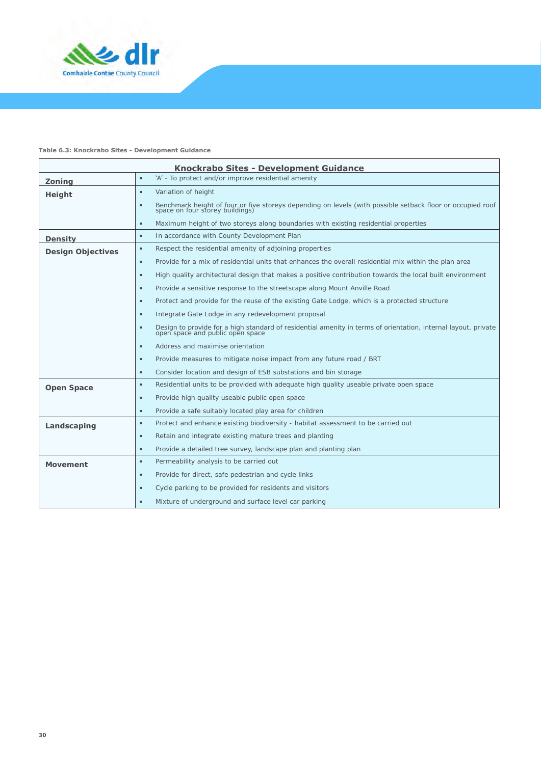

#### **Table 6.3: Knockrabo Sites - Development Guidance**

| <b>Knockrabo Sites - Development Guidance</b> |                                                                                                                                                                 |  |
|-----------------------------------------------|-----------------------------------------------------------------------------------------------------------------------------------------------------------------|--|
| Zoning                                        | 'A' - To protect and/or improve residential amenity<br>$\bullet$                                                                                                |  |
| Height                                        | Variation of height<br>$\bullet$                                                                                                                                |  |
|                                               | Benchmark height of four or five storeys depending on levels (with possible setback floor or occupied roof space on four storey buildings)<br>$\bullet$         |  |
|                                               | Maximum height of two storeys along boundaries with existing residential properties<br>$\bullet$                                                                |  |
| Density                                       | In accordance with County Development Plan<br>$\bullet$                                                                                                         |  |
| <b>Design Objectives</b>                      | Respect the residential amenity of adjoining properties<br>$\bullet$                                                                                            |  |
|                                               | Provide for a mix of residential units that enhances the overall residential mix within the plan area<br>$\bullet$                                              |  |
|                                               | High quality architectural design that makes a positive contribution towards the local built environment<br>$\bullet$                                           |  |
|                                               | Provide a sensitive response to the streetscape along Mount Anville Road<br>$\bullet$                                                                           |  |
|                                               | Protect and provide for the reuse of the existing Gate Lodge, which is a protected structure<br>$\bullet$                                                       |  |
|                                               | Integrate Gate Lodge in any redevelopment proposal<br>$\bullet$                                                                                                 |  |
|                                               | Design to provide for a high standard of residential amenity in terms of orientation, internal layout, private<br>open space and public open space<br>$\bullet$ |  |
|                                               | Address and maximise orientation<br>$\bullet$                                                                                                                   |  |
|                                               | Provide measures to mitigate noise impact from any future road / BRT<br>$\bullet$                                                                               |  |
|                                               | Consider location and design of ESB substations and bin storage<br>$\bullet$                                                                                    |  |
| <b>Open Space</b>                             | Residential units to be provided with adequate high quality useable private open space<br>$\bullet$                                                             |  |
|                                               | Provide high quality useable public open space<br>$\bullet$                                                                                                     |  |
|                                               | Provide a safe suitably located play area for children<br>$\bullet$                                                                                             |  |
| Landscaping                                   | Protect and enhance existing biodiversity - habitat assessment to be carried out<br>$\bullet$                                                                   |  |
|                                               | Retain and integrate existing mature trees and planting<br>$\bullet$                                                                                            |  |
|                                               | Provide a detailed tree survey, landscape plan and planting plan<br>$\bullet$                                                                                   |  |
| <b>Movement</b>                               | Permeability analysis to be carried out<br>$\bullet$                                                                                                            |  |
|                                               | Provide for direct, safe pedestrian and cycle links<br>$\bullet$                                                                                                |  |
|                                               | Cycle parking to be provided for residents and visitors<br>$\bullet$                                                                                            |  |
|                                               | Mixture of underground and surface level car parking<br>$\bullet$                                                                                               |  |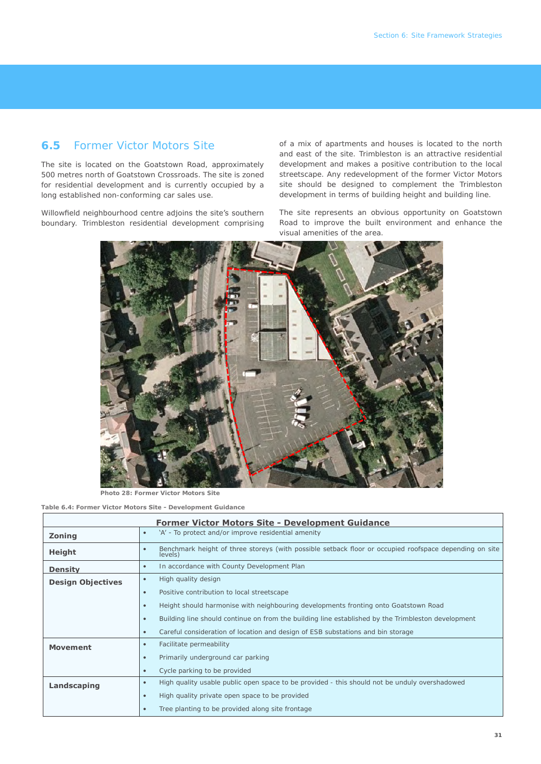### **6.5** Former Victor Motors Site

The site is located on the Goatstown Road, approximately 500 metres north of Goatstown Crossroads. The site is zoned for residential development and is currently occupied by a long established non-conforming car sales use.

Willowfield neighbourhood centre adjoins the site's southern boundary. Trimbleston residential development comprising

of a mix of apartments and houses is located to the north and east of the site. Trimbleston is an attractive residential development and makes a positive contribution to the local streetscape. Any redevelopment of the former Victor Motors site should be designed to complement the Trimbleston development in terms of building height and building line.

The site represents an obvious opportunity on Goatstown Road to improve the built environment and enhance the visual amenities of the area.



**Photo 28: Former Victor Motors Site**

**Table 6.4: Former Victor Motors Site - Development Guidance**

| <b>Former Victor Motors Site - Development Guidance</b> |                                                                                                                   |  |
|---------------------------------------------------------|-------------------------------------------------------------------------------------------------------------------|--|
| Zoning                                                  | 'A' - To protect and/or improve residential amenity<br>$\bullet$                                                  |  |
| Height                                                  | Benchmark height of three storeys (with possible setback floor or occupied roofspace depending on site<br>levels) |  |
| Density                                                 | In accordance with County Development Plan<br>$\bullet$                                                           |  |
| <b>Design Objectives</b>                                | High quality design<br>$\bullet$                                                                                  |  |
|                                                         | Positive contribution to local streetscape<br>$\bullet$                                                           |  |
|                                                         | Height should harmonise with neighbouring developments fronting onto Goatstown Road<br>$\bullet$                  |  |
|                                                         | Building line should continue on from the building line established by the Trimbleston development<br>$\bullet$   |  |
|                                                         | Careful consideration of location and design of ESB substations and bin storage<br>$\bullet$                      |  |
| <b>Movement</b>                                         | Facilitate permeability<br>$\bullet$                                                                              |  |
|                                                         | Primarily underground car parking<br>$\bullet$                                                                    |  |
|                                                         | Cycle parking to be provided                                                                                      |  |
| Landscaping                                             | High quality usable public open space to be provided - this should not be unduly overshadowed                     |  |
|                                                         | High quality private open space to be provided<br>$\bullet$                                                       |  |
|                                                         | Tree planting to be provided along site frontage<br>$\bullet$                                                     |  |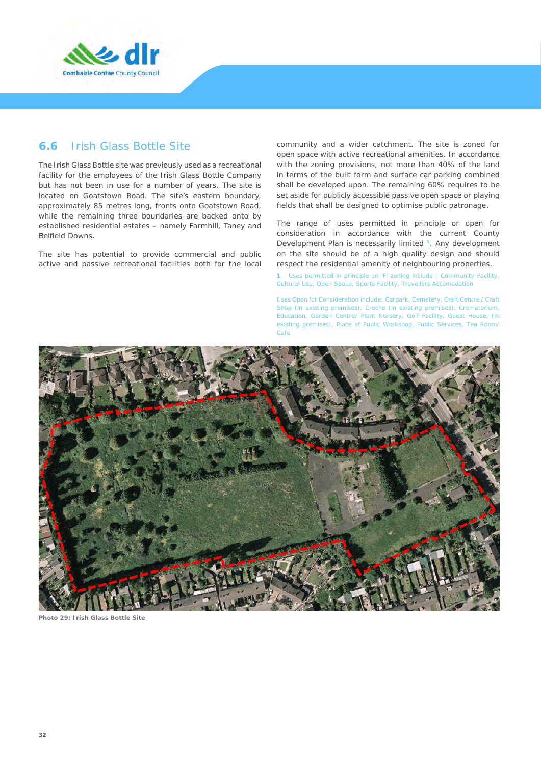

#### **6.6** Irish Glass Bottle Site

The Irish Glass Bottle site was previously used as a recreational facility for the employees of the Irish Glass Bottle Company but has not been in use for a number of years. The site is located on Goatstown Road. The site's eastern boundary, approximately 85 metres long, fronts onto Goatstown Road, while the remaining three boundaries are backed onto by established residential estates – namely Farmhill, Taney and Belfield Downs.

The site has potential to provide commercial and public active and passive recreational facilities both for the local community and a wider catchment. The site is zoned for open space with active recreational amenities. In accordance with the zoning provisions, not more than 40% of the land in terms of the built form and surface car parking combined shall be developed upon. The remaining 60% requires to be set aside for publicly accessible passive open space or playing fields that shall be designed to optimise public patronage.

The range of uses permitted in principle or open for consideration in accordance with the current County Development Plan is necessarily limited **1**. Any development on the site should be of a high quality design and should respect the residential amenity of neighbouring properties.

**1** *Uses permitted in principle on 'F' zoning include : Community Facility, Cultural Use, Open Space, Sports Facility, Travellers Accomadation*

*Uses Open for Consideration include: Carpark, Cemetery, Craft Centre / Craft Shop (in existing premises), Creche (in existing premises), Crematorium, Education, Garden Centre/ Plant Nursery, Golf Facility, Guest House, (in existing premises), Place of Public Workshop, Public Services, Tea Room/ Cafe*



**Photo 29: Irish Glass Bottle Site**